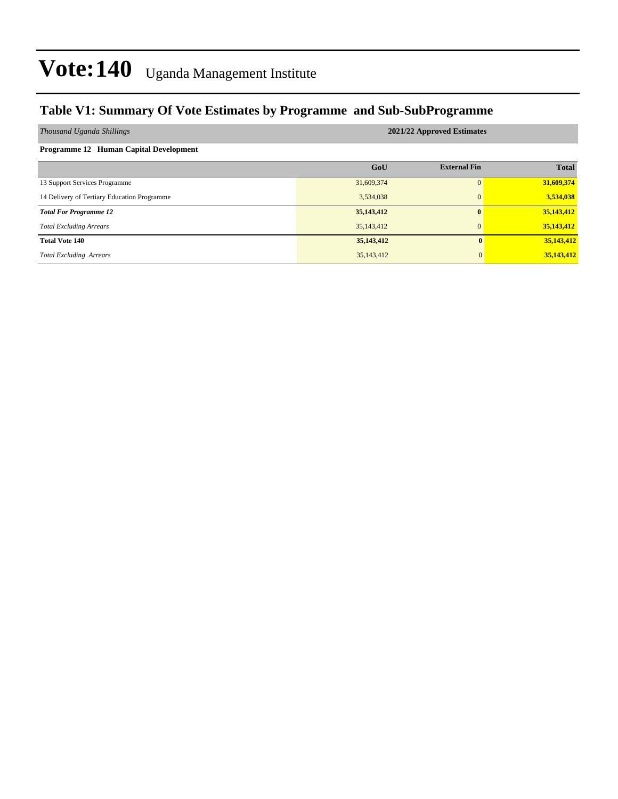#### **Table V1: Summary Of Vote Estimates by Programme and Sub-SubProgramme**

| Thousand Uganda Shillings                   | 2021/22 Approved Estimates |                     |              |  |  |  |  |  |
|---------------------------------------------|----------------------------|---------------------|--------------|--|--|--|--|--|
| Programme 12 Human Capital Development      |                            |                     |              |  |  |  |  |  |
|                                             | GoU                        | <b>External Fin</b> | <b>Total</b> |  |  |  |  |  |
| 13 Support Services Programme               | 31,609,374                 | 0                   | 31,609,374   |  |  |  |  |  |
| 14 Delivery of Tertiary Education Programme | 3,534,038                  | $\mathbf{0}$        | 3,534,038    |  |  |  |  |  |
| <b>Total For Programme 12</b>               | 35, 143, 412               | $\mathbf{0}$        | 35,143,412   |  |  |  |  |  |
| <b>Total Excluding Arrears</b>              | 35,143,412                 | $\mathbf{0}$        | 35,143,412   |  |  |  |  |  |
| <b>Total Vote 140</b>                       | 35, 143, 412               | $\mathbf{0}$        | 35,143,412   |  |  |  |  |  |
| <b>Total Excluding Arrears</b>              | 35,143,412                 | $\mathbf{0}$        | 35,143,412   |  |  |  |  |  |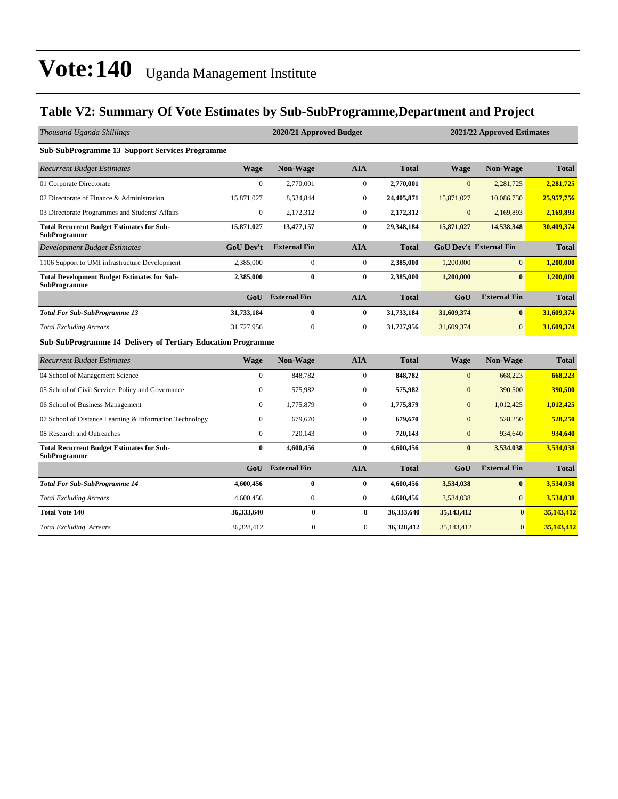#### **Table V2: Summary Of Vote Estimates by Sub-SubProgramme,Department and Project**

| Thousand Uganda Shillings                                                 | 2020/21 Approved Budget |                     |                  |              | 2021/22 Approved Estimates |                               |              |  |
|---------------------------------------------------------------------------|-------------------------|---------------------|------------------|--------------|----------------------------|-------------------------------|--------------|--|
| <b>Sub-SubProgramme 13 Support Services Programme</b>                     |                         |                     |                  |              |                            |                               |              |  |
| <b>Recurrent Budget Estimates</b>                                         | <b>Wage</b>             | Non-Wage            | <b>AIA</b>       | <b>Total</b> | <b>Wage</b>                | Non-Wage                      | <b>Total</b> |  |
| 01 Corporate Directorate                                                  | $\Omega$                | 2,770,001           | $\boldsymbol{0}$ | 2,770,001    | $\mathbf{0}$               | 2,281,725                     | 2,281,725    |  |
| 02 Directorate of Finance & Administration                                | 15,871,027              | 8,534,844           | $\mathbf{0}$     | 24,405,871   | 15,871,027                 | 10,086,730                    | 25,957,756   |  |
| 03 Directorate Programmes and Students' Affairs                           | $\boldsymbol{0}$        | 2,172,312           | $\boldsymbol{0}$ | 2,172,312    | $\mathbf{0}$               | 2,169,893                     | 2,169,893    |  |
| <b>Total Recurrent Budget Estimates for Sub-</b><br><b>SubProgramme</b>   | 15,871,027              | 13,477,157          | $\bf{0}$         | 29,348,184   | 15,871,027                 | 14,538,348                    | 30,409,374   |  |
| <b>Development Budget Estimates</b>                                       | <b>GoU Dev't</b>        | <b>External Fin</b> | <b>AIA</b>       | <b>Total</b> |                            | <b>GoU Dev't External Fin</b> | <b>Total</b> |  |
| 1106 Support to UMI infrastructure Development                            | 2,385,000               | $\mathbf{0}$        | $\mathbf{0}$     | 2,385,000    | 1,200,000                  | $\overline{0}$                | 1,200,000    |  |
| <b>Total Development Budget Estimates for Sub-</b><br><b>SubProgramme</b> | 2,385,000               | $\bf{0}$            | $\bf{0}$         | 2,385,000    | 1,200,000                  | $\bf{0}$                      | 1,200,000    |  |
|                                                                           | GoU                     | <b>External Fin</b> | <b>AIA</b>       | <b>Total</b> | GoU                        | <b>External Fin</b>           | <b>Total</b> |  |
| <b>Total For Sub-SubProgramme 13</b>                                      | 31,733,184              | $\bf{0}$            | $\bf{0}$         | 31,733,184   | 31,609,374                 | $\bf{0}$                      | 31,609,374   |  |
| <b>Total Excluding Arrears</b>                                            | 31,727,956              | $\mathbf{0}$        | $\overline{0}$   | 31,727,956   | 31,609,374                 | $\overline{0}$                | 31,609,374   |  |
| <b>Sub-SubProgramme 14 Delivery of Tertiary Education Programme</b>       |                         |                     |                  |              |                            |                               |              |  |
| <b>Recurrent Budget Estimates</b>                                         | <b>Wage</b>             | Non-Wage            | <b>AIA</b>       | <b>Total</b> | <b>Wage</b>                | Non-Wage                      | <b>Total</b> |  |
| 04 School of Management Science                                           | $\mathbf{0}$            | 848,782             | $\boldsymbol{0}$ | 848,782      | $\boldsymbol{0}$           | 668,223                       | 668,223      |  |
| 05 School of Civil Service, Policy and Governance                         | $\Omega$                | 575,982             | $\mathbf{0}$     | 575,982      | $\overline{0}$             | 390,500                       | 390,500      |  |
| 06 School of Business Management                                          | $\Omega$                | 1,775,879           | $\mathbf{0}$     | 1,775,879    | $\overline{0}$             | 1,012,425                     | 1,012,425    |  |
| 07 School of Distance Learning & Information Technology                   | $\mathbf{0}$            | 679,670             | $\mathbf{0}$     | 679,670      | $\boldsymbol{0}$           | 528,250                       | 528,250      |  |
| 08 Research and Outreaches                                                | $\Omega$                | 720,143             | $\mathbf{0}$     | 720,143      | $\overline{0}$             | 934,640                       | 934,640      |  |
| <b>Total Recurrent Budget Estimates for Sub-</b><br><b>SubProgramme</b>   | $\bf{0}$                | 4,600,456           | $\bf{0}$         | 4,600,456    | $\bf{0}$                   | 3,534,038                     | 3,534,038    |  |
|                                                                           | GoU                     | <b>External Fin</b> | <b>AIA</b>       | <b>Total</b> | GoU                        | <b>External Fin</b>           | <b>Total</b> |  |
| <b>Total For Sub-SubProgramme 14</b>                                      | 4,600,456               | $\mathbf{0}$        | $\bf{0}$         | 4,600,456    | 3,534,038                  | $\bf{0}$                      | 3,534,038    |  |
| <b>Total Excluding Arrears</b>                                            | 4,600,456               | $\mathbf{0}$        | $\mathbf{0}$     | 4,600,456    | 3,534,038                  | $\overline{0}$                | 3,534,038    |  |
| <b>Total Vote 140</b>                                                     | 36,333,640              | $\bf{0}$            | $\mathbf{0}$     | 36,333,640   | 35, 143, 412               | $\mathbf{0}$                  | 35,143,412   |  |
| <b>Total Excluding Arrears</b>                                            | 36,328,412              | $\mathbf{0}$        | $\mathbf{0}$     | 36.328.412   | 35,143,412                 | $\mathbf{0}$                  | 35,143,412   |  |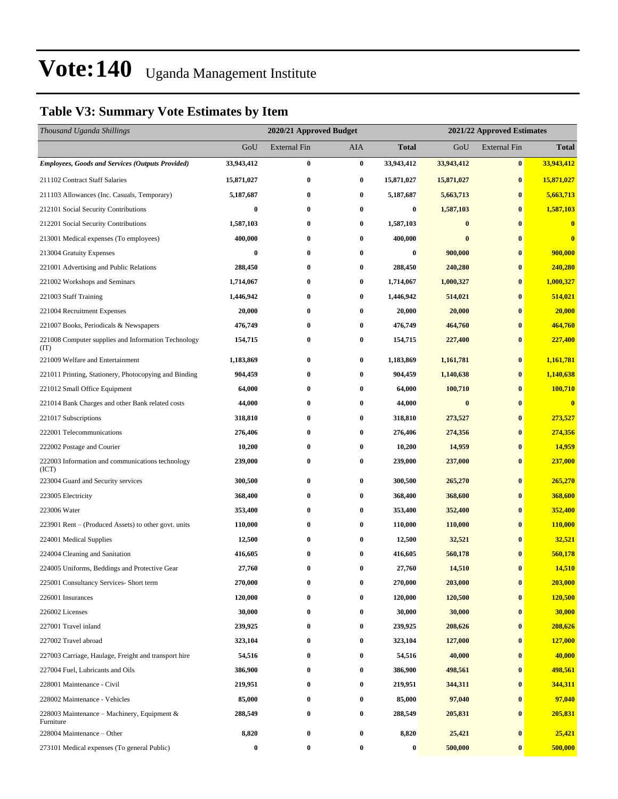#### **Table V3: Summary Vote Estimates by Item**

| Thousand Uganda Shillings                                   |            | 2020/21 Approved Budget |           |                  | 2021/22 Approved Estimates |                     |                         |  |
|-------------------------------------------------------------|------------|-------------------------|-----------|------------------|----------------------------|---------------------|-------------------------|--|
|                                                             | GoU        | <b>External Fin</b>     | AIA       | <b>Total</b>     | GoU                        | <b>External Fin</b> | <b>Total</b>            |  |
| <b>Employees, Goods and Services (Outputs Provided)</b>     | 33,943,412 | $\bf{0}$                | $\pmb{0}$ | 33,943,412       | 33,943,412                 | $\bf{0}$            | 33,943,412              |  |
| 211102 Contract Staff Salaries                              | 15,871,027 | $\bf{0}$                | $\bf{0}$  | 15,871,027       | 15,871,027                 | $\bf{0}$            | 15,871,027              |  |
| 211103 Allowances (Inc. Casuals, Temporary)                 | 5,187,687  | $\bf{0}$                | $\bf{0}$  | 5,187,687        | 5,663,713                  | $\bf{0}$            | 5,663,713               |  |
| 212101 Social Security Contributions                        | 0          | $\bf{0}$                | $\bf{0}$  | $\boldsymbol{0}$ | 1,587,103                  | $\bf{0}$            | 1,587,103               |  |
| 212201 Social Security Contributions                        | 1,587,103  | $\bf{0}$                | $\bf{0}$  | 1,587,103        | $\bf{0}$                   | $\bf{0}$            | $\bf{0}$                |  |
| 213001 Medical expenses (To employees)                      | 400,000    | $\bf{0}$                | $\bf{0}$  | 400,000          | $\bf{0}$                   | $\bf{0}$            | $\overline{\mathbf{0}}$ |  |
| 213004 Gratuity Expenses                                    | 0          | $\bf{0}$                | $\bf{0}$  | 0                | 900,000                    | $\bf{0}$            | 900,000                 |  |
| 221001 Advertising and Public Relations                     | 288,450    | $\bf{0}$                | $\bf{0}$  | 288,450          | 240,280                    | $\bf{0}$            | 240,280                 |  |
| 221002 Workshops and Seminars                               | 1,714,067  | $\bf{0}$                | $\bf{0}$  | 1,714,067        | 1,000,327                  | $\bf{0}$            | 1,000,327               |  |
| 221003 Staff Training                                       | 1,446,942  | $\bf{0}$                | $\bf{0}$  | 1,446,942        | 514,021                    | $\bf{0}$            | 514,021                 |  |
| 221004 Recruitment Expenses                                 | 20,000     | $\bf{0}$                | $\bf{0}$  | 20,000           | 20,000                     | $\bf{0}$            | 20,000                  |  |
| 221007 Books, Periodicals & Newspapers                      | 476,749    | $\bf{0}$                | $\bf{0}$  | 476,749          | 464,760                    | $\bf{0}$            | 464,760                 |  |
| 221008 Computer supplies and Information Technology<br>(TT) | 154,715    | $\bf{0}$                | $\bf{0}$  | 154,715          | 227,400                    | $\bf{0}$            | 227,400                 |  |
| 221009 Welfare and Entertainment                            | 1,183,869  | $\bf{0}$                | $\bf{0}$  | 1,183,869        | 1,161,781                  | $\bf{0}$            | 1,161,781               |  |
| 221011 Printing, Stationery, Photocopying and Binding       | 904,459    | $\bf{0}$                | $\bf{0}$  | 904,459          | 1,140,638                  | $\bf{0}$            | 1,140,638               |  |
| 221012 Small Office Equipment                               | 64,000     | $\bf{0}$                | $\bf{0}$  | 64,000           | 100,710                    | $\bf{0}$            | 100,710                 |  |
| 221014 Bank Charges and other Bank related costs            | 44,000     | $\bf{0}$                | $\bf{0}$  | 44,000           | $\bf{0}$                   | $\bf{0}$            | $\overline{\mathbf{0}}$ |  |
| 221017 Subscriptions                                        | 318,810    | $\bf{0}$                | $\bf{0}$  | 318,810          | 273,527                    | $\bf{0}$            | 273,527                 |  |
| 222001 Telecommunications                                   | 276,406    | $\bf{0}$                | $\bf{0}$  | 276,406          | 274,356                    | $\bf{0}$            | 274,356                 |  |
| 222002 Postage and Courier                                  | 10,200     | 0                       | $\bf{0}$  | 10,200           | 14,959                     | $\bf{0}$            | 14,959                  |  |
| 222003 Information and communications technology<br>(ICT)   | 239,000    | $\bf{0}$                | $\bf{0}$  | 239,000          | 237,000                    | $\bf{0}$            | 237,000                 |  |
| 223004 Guard and Security services                          | 300,500    | $\bf{0}$                | $\bf{0}$  | 300,500          | 265,270                    | $\bf{0}$            | 265,270                 |  |
| 223005 Electricity                                          | 368,400    | $\bf{0}$                | $\bf{0}$  | 368,400          | 368,600                    | $\bf{0}$            | 368,600                 |  |
| 223006 Water                                                | 353,400    | $\bf{0}$                | $\bf{0}$  | 353,400          | 352,400                    | $\bf{0}$            | 352,400                 |  |
| 223901 Rent – (Produced Assets) to other govt. units        | 110,000    | $\bf{0}$                | $\bf{0}$  | 110,000          | 110,000                    | $\bf{0}$            | 110,000                 |  |
| 224001 Medical Supplies                                     | 12,500     | $\bf{0}$                | $\bf{0}$  | 12,500           | 32,521                     | $\bf{0}$            | 32,521                  |  |
| 224004 Cleaning and Sanitation                              | 416,605    | $\bf{0}$                | $\bf{0}$  | 416,605          | 560,178                    | $\bf{0}$            | 560,178                 |  |
| 224005 Uniforms, Beddings and Protective Gear               | 27,760     | $\bf{0}$                | $\bf{0}$  | 27,760           | 14,510                     | $\bf{0}$            | 14,510                  |  |
| 225001 Consultancy Services- Short term                     | 270,000    | $\bf{0}$                | $\bf{0}$  | 270,000          | 203,000                    | $\bf{0}$            | 203,000                 |  |
| 226001 Insurances                                           | 120,000    | $\bf{0}$                | $\bf{0}$  | 120,000          | 120,500                    | $\bf{0}$            | 120,500                 |  |
| 226002 Licenses                                             | 30,000     | $\bf{0}$                | $\bf{0}$  | 30,000           | 30,000                     | $\bf{0}$            | 30,000                  |  |
| 227001 Travel inland                                        | 239,925    | $\bf{0}$                | $\bf{0}$  | 239,925          | 208,626                    | $\bf{0}$            | 208,626                 |  |
| 227002 Travel abroad                                        | 323,104    | $\bf{0}$                | $\bf{0}$  | 323,104          | 127,000                    | $\bf{0}$            | 127,000                 |  |
| 227003 Carriage, Haulage, Freight and transport hire        | 54,516     | $\bf{0}$                | $\bf{0}$  | 54,516           | 40,000                     | $\bf{0}$            | 40,000                  |  |
| 227004 Fuel, Lubricants and Oils                            | 386,900    | $\bf{0}$                | $\bf{0}$  | 386,900          | 498,561                    | $\bf{0}$            | 498,561                 |  |
| 228001 Maintenance - Civil                                  | 219,951    | $\bf{0}$                | $\bf{0}$  | 219,951          | 344,311                    | $\bf{0}$            | 344,311                 |  |
| 228002 Maintenance - Vehicles                               | 85,000     | $\bf{0}$                | $\bf{0}$  | 85,000           | 97,040                     | $\bf{0}$            | 97,040                  |  |
| 228003 Maintenance – Machinery, Equipment $\&$<br>Furniture | 288,549    | $\bf{0}$                | $\bf{0}$  | 288,549          | 205,831                    | $\bf{0}$            | 205,831                 |  |
| 228004 Maintenance - Other                                  | 8,820      | $\bf{0}$                | $\bf{0}$  | 8,820            | 25,421                     | $\bf{0}$            | 25,421                  |  |
| 273101 Medical expenses (To general Public)                 | $\bf{0}$   | $\bf{0}$                | $\bf{0}$  | $\boldsymbol{0}$ | 500,000                    | $\pmb{0}$           | 500,000                 |  |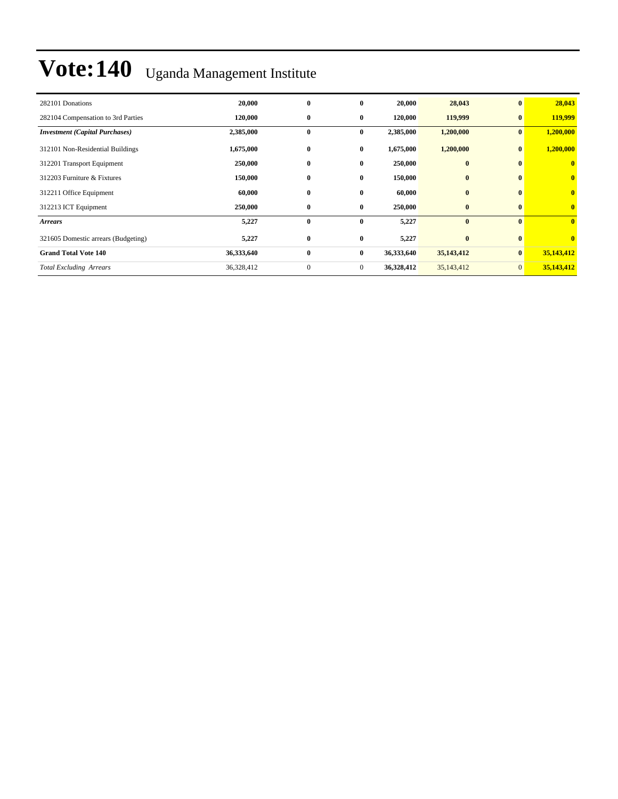| 282101 Donations                      | 20,000     | $\bf{0}$         | $\bf{0}$     | 20,000     | 28,043       | $\mathbf{0}$ | 28,043                  |
|---------------------------------------|------------|------------------|--------------|------------|--------------|--------------|-------------------------|
| 282104 Compensation to 3rd Parties    | 120,000    | $\bf{0}$         | $\bf{0}$     | 120,000    | 119,999      | $\bf{0}$     | 119,999                 |
| <b>Investment (Capital Purchases)</b> | 2,385,000  | $\bf{0}$         | $\bf{0}$     | 2,385,000  | 1,200,000    | $\mathbf{0}$ | 1,200,000               |
| 312101 Non-Residential Buildings      | 1,675,000  | $\bf{0}$         | $\bf{0}$     | 1,675,000  | 1,200,000    |              | 1,200,000               |
| 312201 Transport Equipment            | 250,000    | $\bf{0}$         | $\bf{0}$     | 250,000    | $\bf{0}$     |              | $\mathbf{0}$            |
| 312203 Furniture & Fixtures           | 150,000    | $\bf{0}$         | $\bf{0}$     | 150,000    | $\bf{0}$     |              | $\bf{0}$                |
| 312211 Office Equipment               | 60,000     | $\bf{0}$         | $\bf{0}$     | 60,000     | $\bf{0}$     |              | $\bf{0}$                |
| 312213 ICT Equipment                  | 250,000    | $\bf{0}$         | $\bf{0}$     | 250,000    | $\bf{0}$     |              | $\mathbf{0}$            |
| <b>Arrears</b>                        | 5,227      | $\bf{0}$         | $\bf{0}$     | 5,227      | $\bf{0}$     | $\mathbf{0}$ | $\overline{\mathbf{0}}$ |
| 321605 Domestic arrears (Budgeting)   | 5,227      | $\bf{0}$         | $\bf{0}$     | 5,227      | $\bf{0}$     |              | $\overline{\mathbf{0}}$ |
| <b>Grand Total Vote 140</b>           | 36,333,640 | $\bf{0}$         | $\bf{0}$     | 36,333,640 | 35, 143, 412 | $\bf{0}$     | 35,143,412              |
| <b>Total Excluding Arrears</b>        | 36,328,412 | $\boldsymbol{0}$ | $\mathbf{0}$ | 36,328,412 | 35,143,412   | $\mathbf{0}$ | 35,143,412              |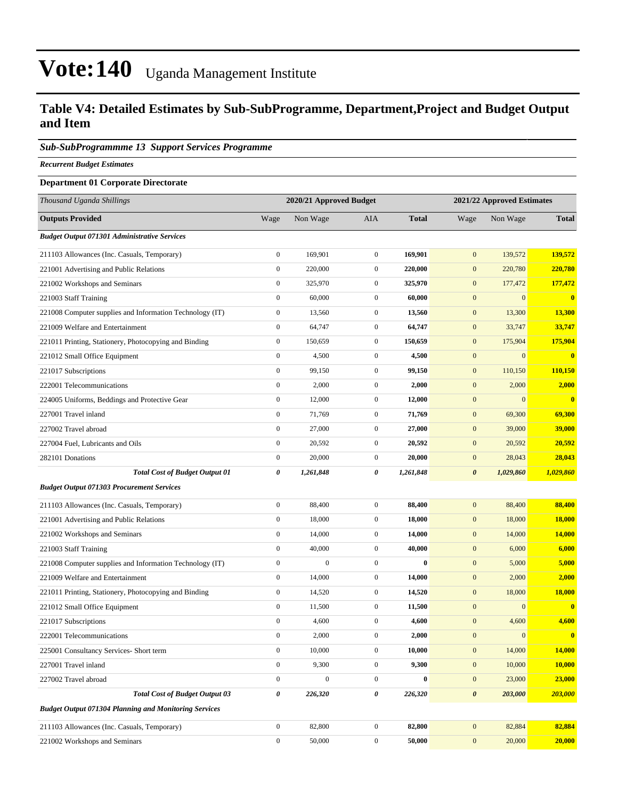#### **Table V4: Detailed Estimates by Sub-SubProgramme, Department,Project and Budget Output and Item**

#### *Sub-SubProgrammme 13 Support Services Programme*

*Recurrent Budget Estimates*

#### **Department 01 Corporate Directorate**

| Thousand Uganda Shillings                                    |                       | 2020/21 Approved Budget |                  |              | 2021/22 Approved Estimates |                  |               |
|--------------------------------------------------------------|-----------------------|-------------------------|------------------|--------------|----------------------------|------------------|---------------|
| <b>Outputs Provided</b>                                      | Wage                  | Non Wage                | AIA              | <b>Total</b> | Wage                       | Non Wage         | <b>Total</b>  |
| <b>Budget Output 071301 Administrative Services</b>          |                       |                         |                  |              |                            |                  |               |
| 211103 Allowances (Inc. Casuals, Temporary)                  | $\boldsymbol{0}$      | 169,901                 | $\overline{0}$   | 169,901      | $\mathbf{0}$               | 139,572          | 139,572       |
| 221001 Advertising and Public Relations                      | $\boldsymbol{0}$      | 220,000                 | $\mathbf{0}$     | 220,000      | $\mathbf{0}$               | 220,780          | 220,780       |
| 221002 Workshops and Seminars                                | $\boldsymbol{0}$      | 325,970                 | $\mathbf{0}$     | 325,970      | $\mathbf{0}$               | 177,472          | 177,472       |
| 221003 Staff Training                                        | $\boldsymbol{0}$      | 60,000                  | $\mathbf{0}$     | 60,000       | $\mathbf{0}$               | $\mathbf{0}$     | $\bf{0}$      |
| 221008 Computer supplies and Information Technology (IT)     | $\boldsymbol{0}$      | 13,560                  | $\boldsymbol{0}$ | 13,560       | $\mathbf{0}$               | 13,300           | 13,300        |
| 221009 Welfare and Entertainment                             | $\boldsymbol{0}$      | 64,747                  | $\overline{0}$   | 64,747       | $\mathbf{0}$               | 33,747           | 33,747        |
| 221011 Printing, Stationery, Photocopying and Binding        | $\boldsymbol{0}$      | 150,659                 | $\mathbf{0}$     | 150,659      | $\mathbf{0}$               | 175,904          | 175,904       |
| 221012 Small Office Equipment                                | $\boldsymbol{0}$      | 4,500                   | $\mathbf{0}$     | 4,500        | $\mathbf{0}$               | $\boldsymbol{0}$ | $\bf{0}$      |
| 221017 Subscriptions                                         | $\boldsymbol{0}$      | 99,150                  | $\overline{0}$   | 99,150       | $\mathbf{0}$               | 110,150          | 110,150       |
| 222001 Telecommunications                                    | $\boldsymbol{0}$      | 2,000                   | $\mathbf{0}$     | 2,000        | $\mathbf{0}$               | 2,000            | 2,000         |
| 224005 Uniforms, Beddings and Protective Gear                | $\boldsymbol{0}$      | 12,000                  | $\mathbf{0}$     | 12,000       | $\mathbf{0}$               | $\mathbf{0}$     | $\bf{0}$      |
| 227001 Travel inland                                         | $\boldsymbol{0}$      | 71,769                  | $\mathbf{0}$     | 71,769       | $\mathbf{0}$               | 69,300           | 69,300        |
| 227002 Travel abroad                                         | $\boldsymbol{0}$      | 27,000                  | $\mathbf{0}$     | 27,000       | $\mathbf{0}$               | 39,000           | 39,000        |
| 227004 Fuel, Lubricants and Oils                             | $\boldsymbol{0}$      | 20,592                  | $\boldsymbol{0}$ | 20,592       | $\mathbf{0}$               | 20,592           | 20,592        |
| 282101 Donations                                             | $\boldsymbol{0}$      | 20,000                  | $\boldsymbol{0}$ | 20,000       | $\mathbf{0}$               | 28,043           | 28,043        |
| <b>Total Cost of Budget Output 01</b>                        | $\boldsymbol{\theta}$ | 1,261,848               | 0                | 1,261,848    | $\boldsymbol{\theta}$      | 1,029,860        | 1,029,860     |
| <b>Budget Output 071303 Procurement Services</b>             |                       |                         |                  |              |                            |                  |               |
| 211103 Allowances (Inc. Casuals, Temporary)                  | $\boldsymbol{0}$      | 88,400                  | $\boldsymbol{0}$ | 88,400       | $\mathbf{0}$               | 88,400           | 88,400        |
| 221001 Advertising and Public Relations                      | $\boldsymbol{0}$      | 18,000                  | $\mathbf{0}$     | 18,000       | $\mathbf{0}$               | 18,000           | 18,000        |
| 221002 Workshops and Seminars                                | $\boldsymbol{0}$      | 14,000                  | $\overline{0}$   | 14,000       | $\mathbf{0}$               | 14,000           | <b>14,000</b> |
| 221003 Staff Training                                        | $\boldsymbol{0}$      | 40,000                  | $\mathbf{0}$     | 40,000       | $\mathbf{0}$               | 6,000            | 6,000         |
| 221008 Computer supplies and Information Technology (IT)     | $\boldsymbol{0}$      | $\boldsymbol{0}$        | $\overline{0}$   | $\bf{0}$     | $\mathbf{0}$               | 5,000            | 5,000         |
| 221009 Welfare and Entertainment                             | $\boldsymbol{0}$      | 14,000                  | $\boldsymbol{0}$ | 14,000       | $\mathbf{0}$               | 2,000            | 2,000         |
| 221011 Printing, Stationery, Photocopying and Binding        | $\boldsymbol{0}$      | 14,520                  | $\mathbf{0}$     | 14,520       | $\mathbf{0}$               | 18,000           | 18,000        |
| 221012 Small Office Equipment                                | $\boldsymbol{0}$      | 11,500                  | $\mathbf{0}$     | 11,500       | $\boldsymbol{0}$           | $\boldsymbol{0}$ | $\bf{0}$      |
| 221017 Subscriptions                                         | $\boldsymbol{0}$      | 4,600                   | $\mathbf{0}$     | 4,600        | $\mathbf{0}$               | 4,600            | 4,600         |
| 222001 Telecommunications                                    | $\boldsymbol{0}$      | 2,000                   | $\mathbf{0}$     | 2,000        | $\mathbf{0}$               | $\mathbf{0}$     | $\bf{0}$      |
| 225001 Consultancy Services- Short term                      | $\boldsymbol{0}$      | 10,000                  | $\boldsymbol{0}$ | 10,000       | $\mathbf{0}$               | 14,000           | <b>14,000</b> |
| 227001 Travel inland                                         | $\boldsymbol{0}$      | 9,300                   | $\mathbf{0}$     | 9,300        | $\mathbf{0}$               | 10,000           | 10,000        |
| 227002 Travel abroad                                         | $\boldsymbol{0}$      | $\boldsymbol{0}$        | $\boldsymbol{0}$ | $\bf{0}$     | $\boldsymbol{0}$           | 23,000           | 23,000        |
| <b>Total Cost of Budget Output 03</b>                        | $\boldsymbol{\theta}$ | 226,320                 | 0                | 226,320      | $\boldsymbol{\theta}$      | 203,000          | 203,000       |
| <b>Budget Output 071304 Planning and Monitoring Services</b> |                       |                         |                  |              |                            |                  |               |
| 211103 Allowances (Inc. Casuals, Temporary)                  | $\boldsymbol{0}$      | 82,800                  | $\boldsymbol{0}$ | 82,800       | $\mathbf{0}$               | 82,884           | 82,884        |
| 221002 Workshops and Seminars                                | $\boldsymbol{0}$      | 50,000                  | $\boldsymbol{0}$ | 50,000       | $\boldsymbol{0}$           | 20,000           | 20,000        |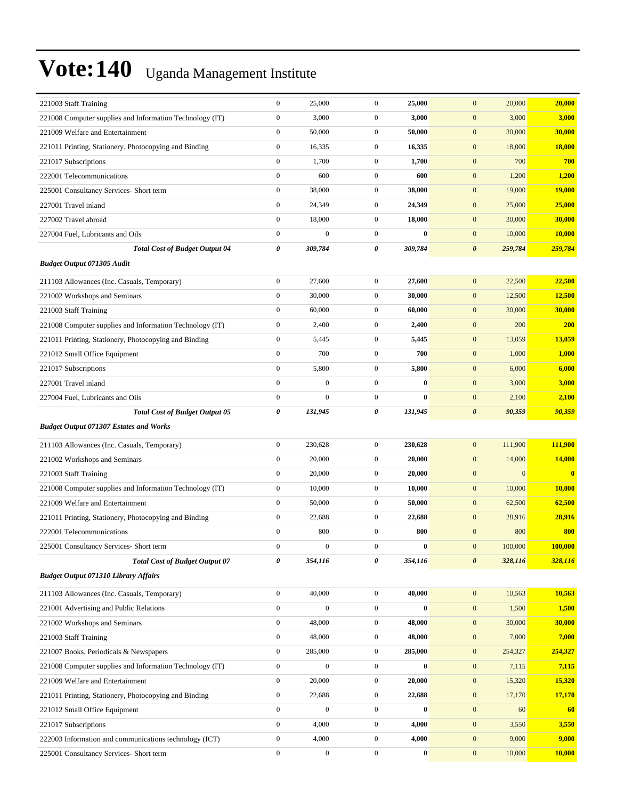| 221003 Staff Training                                    | $\boldsymbol{0}$ | 25,000           | $\boldsymbol{0}$ | 25,000       | $\mathbf{0}$<br>20,000           | 20,000        |
|----------------------------------------------------------|------------------|------------------|------------------|--------------|----------------------------------|---------------|
| 221008 Computer supplies and Information Technology (IT) | $\boldsymbol{0}$ | 3,000            | $\mathbf{0}$     | 3,000        | $\mathbf{0}$<br>3,000            | 3,000         |
| 221009 Welfare and Entertainment                         | $\boldsymbol{0}$ | 50,000           | $\mathbf{0}$     | 50,000       | $\mathbf{0}$<br>30,000           | 30,000        |
| 221011 Printing, Stationery, Photocopying and Binding    | $\boldsymbol{0}$ | 16,335           | $\mathbf{0}$     | 16,335       | $\mathbf{0}$<br>18,000           | 18,000        |
| 221017 Subscriptions                                     | $\boldsymbol{0}$ | 1,700            | $\mathbf{0}$     | 1,700        | $\mathbf{0}$<br>700              | 700           |
| 222001 Telecommunications                                | $\boldsymbol{0}$ | 600              | $\mathbf{0}$     | 600          | $\mathbf{0}$<br>1,200            | 1,200         |
| 225001 Consultancy Services- Short term                  | $\boldsymbol{0}$ | 38,000           | $\mathbf{0}$     | 38,000       | $\mathbf{0}$<br>19,000           | <b>19,000</b> |
| 227001 Travel inland                                     | $\boldsymbol{0}$ | 24,349           | $\mathbf{0}$     | 24,349       | $\mathbf{0}$<br>25,000           | 25,000        |
| 227002 Travel abroad                                     | $\boldsymbol{0}$ | 18,000           | $\mathbf{0}$     | 18,000       | $\mathbf{0}$<br>30,000           | 30,000        |
| 227004 Fuel, Lubricants and Oils                         | $\boldsymbol{0}$ | $\boldsymbol{0}$ | $\mathbf{0}$     | $\bf{0}$     | $\mathbf{0}$<br>10,000           | 10,000        |
| <b>Total Cost of Budget Output 04</b>                    | 0                | 309,784          | 0                | 309,784      | $\boldsymbol{\theta}$<br>259,784 | 259,784       |
| <b>Budget Output 071305 Audit</b>                        |                  |                  |                  |              |                                  |               |
| 211103 Allowances (Inc. Casuals, Temporary)              | $\boldsymbol{0}$ | 27,600           | $\overline{0}$   | 27,600       | $\mathbf{0}$<br>22,500           | 22,500        |
| 221002 Workshops and Seminars                            | $\boldsymbol{0}$ | 30,000           | $\mathbf{0}$     | 30,000       | $\mathbf{0}$<br>12,500           | 12,500        |
| 221003 Staff Training                                    | $\boldsymbol{0}$ | 60,000           | $\mathbf{0}$     | 60,000       | $\mathbf{0}$<br>30,000           | 30,000        |
| 221008 Computer supplies and Information Technology (IT) | $\boldsymbol{0}$ | 2,400            | $\mathbf{0}$     | 2,400        | $\mathbf{0}$<br>200              | 200           |
| 221011 Printing, Stationery, Photocopying and Binding    | $\boldsymbol{0}$ | 5,445            | $\mathbf{0}$     | 5,445        | $\mathbf{0}$<br>13,059           | 13,059        |
| 221012 Small Office Equipment                            | $\boldsymbol{0}$ | 700              | $\overline{0}$   | 700          | $\boldsymbol{0}$<br>1,000        | <b>1,000</b>  |
| 221017 Subscriptions                                     | $\boldsymbol{0}$ | 5,800            | $\mathbf{0}$     | 5,800        | $\mathbf{0}$<br>6,000            | 6,000         |
| 227001 Travel inland                                     | $\boldsymbol{0}$ | $\boldsymbol{0}$ | $\mathbf{0}$     | $\bf{0}$     | $\mathbf{0}$<br>3,000            | 3,000         |
| 227004 Fuel, Lubricants and Oils                         | $\boldsymbol{0}$ | $\boldsymbol{0}$ | $\overline{0}$   | $\bf{0}$     | $\mathbf{0}$<br>2,100            | 2,100         |
| <b>Total Cost of Budget Output 05</b>                    | 0                | 131,945          | 0                | 131,945      | $\boldsymbol{\theta}$<br>90,359  | 90,359        |
| <b>Budget Output 071307 Estates and Works</b>            |                  |                  |                  |              |                                  |               |
| 211103 Allowances (Inc. Casuals, Temporary)              | $\boldsymbol{0}$ | 230,628          | $\overline{0}$   | 230,628      | $\boldsymbol{0}$<br>111,900      | 111,900       |
| 221002 Workshops and Seminars                            | $\boldsymbol{0}$ | 20,000           | $\mathbf{0}$     | 20,000       | $\mathbf{0}$<br>14,000           | <b>14,000</b> |
| 221003 Staff Training                                    | $\boldsymbol{0}$ | 20,000           | $\mathbf{0}$     | 20,000       | $\mathbf{0}$<br>$\boldsymbol{0}$ | $\bf{0}$      |
| 221008 Computer supplies and Information Technology (IT) | $\boldsymbol{0}$ | 10,000           | $\mathbf{0}$     | 10,000       | $\mathbf{0}$<br>10,000           | 10,000        |
| 221009 Welfare and Entertainment                         | $\boldsymbol{0}$ | 50,000           | $\mathbf{0}$     | 50,000       | $\mathbf{0}$<br>62,500           | 62,500        |
| 221011 Printing, Stationery, Photocopying and Binding    | $\boldsymbol{0}$ | 22,688           | $\mathbf{0}$     | 22,688       | $\mathbf{0}$<br>28,916           | 28,916        |
| 222001 Telecommunications                                | $\boldsymbol{0}$ | 800              | $\mathbf{0}$     | 800          | $\mathbf{0}$<br>800              | 800           |
| 225001 Consultancy Services- Short term                  | $\boldsymbol{0}$ | $\Omega$         | 0                | $\mathbf{0}$ | 100,000<br>$\boldsymbol{0}$      | 100,000       |
| <b>Total Cost of Budget Output 07</b>                    | 0                | 354,116          | 0                | 354,116      | $\boldsymbol{\theta}$<br>328,116 | 328,116       |
| <b>Budget Output 071310 Library Affairs</b>              |                  |                  |                  |              |                                  |               |
| 211103 Allowances (Inc. Casuals, Temporary)              | $\boldsymbol{0}$ | 40,000           | $\mathbf{0}$     | 40,000       | $\mathbf{0}$<br>10,563           | 10,563        |
| 221001 Advertising and Public Relations                  | $\boldsymbol{0}$ | $\boldsymbol{0}$ | $\boldsymbol{0}$ | $\bf{0}$     | $\boldsymbol{0}$<br>1,500        | 1,500         |
| 221002 Workshops and Seminars                            | $\boldsymbol{0}$ | 48,000           | $\boldsymbol{0}$ | 48,000       | $\mathbf{0}$<br>30,000           | 30,000        |
| 221003 Staff Training                                    | $\boldsymbol{0}$ | 48,000           | $\boldsymbol{0}$ | 48,000       | 7,000<br>$\mathbf{0}$            | 7,000         |
| 221007 Books, Periodicals & Newspapers                   | $\boldsymbol{0}$ | 285,000          | $\boldsymbol{0}$ | 285,000      | $\mathbf{0}$<br>254,327          | 254,327       |
| 221008 Computer supplies and Information Technology (IT) | $\boldsymbol{0}$ | $\mathbf{0}$     | $\mathbf{0}$     | $\bf{0}$     | 7,115<br>$\bf{0}$                | 7,115         |
| 221009 Welfare and Entertainment                         | $\boldsymbol{0}$ | 20,000           | $\boldsymbol{0}$ | 20,000       | $\boldsymbol{0}$<br>15,320       | 15,320        |
| 221011 Printing, Stationery, Photocopying and Binding    | $\boldsymbol{0}$ | 22,688           | $\boldsymbol{0}$ | 22,688       | $\mathbf{0}$<br>17,170           | 17,170        |
| 221012 Small Office Equipment                            | $\boldsymbol{0}$ | $\boldsymbol{0}$ | $\boldsymbol{0}$ | $\bf{0}$     | $\mathbf{0}$<br>60               | 60            |
| 221017 Subscriptions                                     | $\boldsymbol{0}$ | 4,000            | $\boldsymbol{0}$ | 4,000        | $\mathbf{0}$<br>3,550            | 3,550         |
| 222003 Information and communications technology (ICT)   | $\boldsymbol{0}$ | 4,000            | $\mathbf{0}$     | 4,000        | 9,000<br>$\bf{0}$                | 9,000         |
| 225001 Consultancy Services- Short term                  | $\boldsymbol{0}$ | $\boldsymbol{0}$ | $\boldsymbol{0}$ | $\bf{0}$     | $\mathbf{0}$<br>10,000           | 10,000        |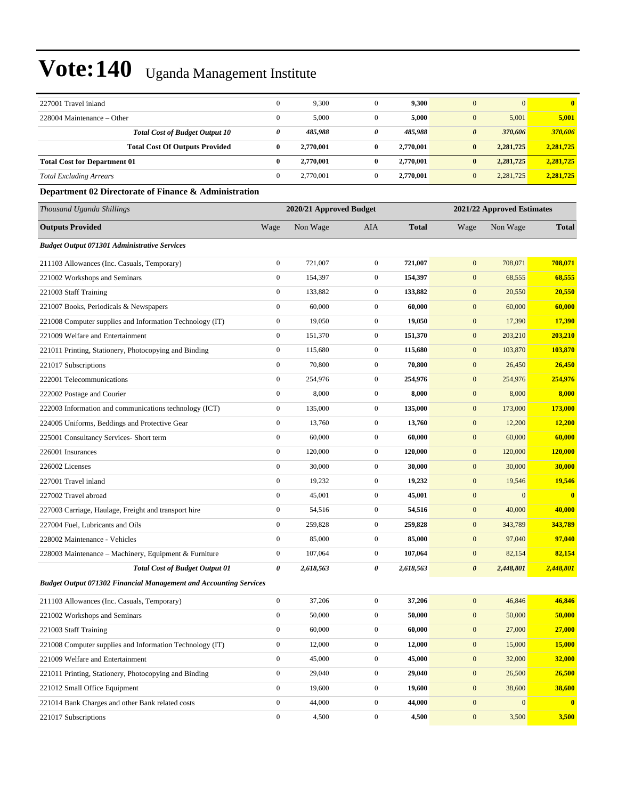| 227001 Travel inland                                                     | $\mathbf{0}$          | 9,300                   | $\mathbf{0}$     | 9,300        | $\mathbf{0}$          | $\mathbf{0}$               | $\bf{0}$      |
|--------------------------------------------------------------------------|-----------------------|-------------------------|------------------|--------------|-----------------------|----------------------------|---------------|
| 228004 Maintenance - Other                                               | $\boldsymbol{0}$      | 5,000                   | $\mathbf{0}$     | 5,000        | $\mathbf{0}$          | 5,001                      | 5,001         |
| <b>Total Cost of Budget Output 10</b>                                    | $\boldsymbol{\theta}$ | 485,988                 | 0                | 485,988      | $\boldsymbol{\theta}$ | 370,606                    | 370,606       |
| <b>Total Cost Of Outputs Provided</b>                                    | $\bf{0}$              | 2,770,001               | $\bf{0}$         | 2,770,001    | $\bf{0}$              | 2,281,725                  | 2,281,725     |
| <b>Total Cost for Department 01</b>                                      | $\bf{0}$              | 2,770,001               | $\bf{0}$         | 2,770,001    | $\bf{0}$              | 2,281,725                  | 2,281,725     |
| <b>Total Excluding Arrears</b>                                           | $\boldsymbol{0}$      | 2,770,001               | $\mathbf{0}$     | 2,770,001    | $\mathbf{0}$          | 2,281,725                  | 2,281,725     |
| Department 02 Directorate of Finance & Administration                    |                       |                         |                  |              |                       |                            |               |
| Thousand Uganda Shillings                                                |                       | 2020/21 Approved Budget |                  |              |                       | 2021/22 Approved Estimates |               |
| <b>Outputs Provided</b>                                                  | Wage                  | Non Wage                | AIA              | <b>Total</b> | Wage                  | Non Wage                   | <b>Total</b>  |
| <b>Budget Output 071301 Administrative Services</b>                      |                       |                         |                  |              |                       |                            |               |
| 211103 Allowances (Inc. Casuals, Temporary)                              | $\boldsymbol{0}$      | 721,007                 | $\boldsymbol{0}$ | 721,007      | $\mathbf{0}$          | 708,071                    | 708,071       |
| 221002 Workshops and Seminars                                            | $\boldsymbol{0}$      | 154,397                 | $\overline{0}$   | 154,397      | $\boldsymbol{0}$      | 68,555                     | 68,555        |
| 221003 Staff Training                                                    | $\boldsymbol{0}$      | 133,882                 | $\boldsymbol{0}$ | 133,882      | $\boldsymbol{0}$      | 20,550                     | 20,550        |
| 221007 Books, Periodicals & Newspapers                                   | $\boldsymbol{0}$      | 60,000                  | $\overline{0}$   | 60,000       | $\boldsymbol{0}$      | 60,000                     | 60,000        |
| 221008 Computer supplies and Information Technology (IT)                 | $\mathbf{0}$          | 19,050                  | $\mathbf{0}$     | 19,050       | $\mathbf{0}$          | 17,390                     | 17,390        |
| 221009 Welfare and Entertainment                                         | $\boldsymbol{0}$      | 151,370                 | $\mathbf{0}$     | 151,370      | $\boldsymbol{0}$      | 203,210                    | 203,210       |
| 221011 Printing, Stationery, Photocopying and Binding                    | $\boldsymbol{0}$      | 115,680                 | $\boldsymbol{0}$ | 115,680      | $\boldsymbol{0}$      | 103,870                    | 103,870       |
| 221017 Subscriptions                                                     | $\boldsymbol{0}$      | 70,800                  | $\boldsymbol{0}$ | 70,800       | $\mathbf{0}$          | 26,450                     | 26,450        |
| 222001 Telecommunications                                                | $\boldsymbol{0}$      | 254,976                 | $\boldsymbol{0}$ | 254,976      | $\mathbf{0}$          | 254,976                    | 254,976       |
| 222002 Postage and Courier                                               | $\boldsymbol{0}$      | 8,000                   | $\mathbf{0}$     | 8,000        | $\mathbf{0}$          | 8,000                      | 8,000         |
| 222003 Information and communications technology (ICT)                   | $\boldsymbol{0}$      | 135,000                 | $\mathbf{0}$     | 135,000      | $\mathbf{0}$          | 173,000                    | 173,000       |
| 224005 Uniforms, Beddings and Protective Gear                            | $\boldsymbol{0}$      | 13,760                  | $\boldsymbol{0}$ | 13,760       | $\mathbf{0}$          | 12,200                     | 12,200        |
| 225001 Consultancy Services- Short term                                  | $\boldsymbol{0}$      | 60,000                  | $\boldsymbol{0}$ | 60,000       | $\mathbf{0}$          | 60,000                     | 60,000        |
| 226001 Insurances                                                        | $\boldsymbol{0}$      | 120,000                 | $\overline{0}$   | 120,000      | $\mathbf{0}$          | 120,000                    | 120,000       |
| 226002 Licenses                                                          | $\boldsymbol{0}$      | 30,000                  | $\mathbf{0}$     | 30,000       | $\mathbf{0}$          | 30,000                     | 30,000        |
| 227001 Travel inland                                                     | $\boldsymbol{0}$      | 19,232                  | $\mathbf{0}$     | 19,232       | $\mathbf{0}$          | 19,546                     | 19,546        |
| 227002 Travel abroad                                                     | $\boldsymbol{0}$      | 45,001                  | $\overline{0}$   | 45,001       | $\mathbf{0}$          | $\mathbf{0}$               | $\bf{0}$      |
| 227003 Carriage, Haulage, Freight and transport hire                     | $\boldsymbol{0}$      | 54,516                  | $\boldsymbol{0}$ | 54,516       | $\boldsymbol{0}$      | 40,000                     | 40,000        |
| 227004 Fuel, Lubricants and Oils                                         | $\boldsymbol{0}$      | 259,828                 | $\boldsymbol{0}$ | 259,828      | $\boldsymbol{0}$      | 343,789                    | 343,789       |
| 228002 Maintenance - Vehicles                                            | $\boldsymbol{0}$      | 85,000                  | $\mathbf{0}$     | 85,000       | $\mathbf{0}$          | 97,040                     | 97,040        |
| 228003 Maintenance – Machinery, Equipment & Furniture                    | $\boldsymbol{0}$      | 107,064                 | $\boldsymbol{0}$ | 107,064      | $\mathbf{0}$          | 82,154                     | 82,154        |
| <b>Total Cost of Budget Output 01</b>                                    | 0                     | 2,618,563               | 0                | 2,618,563    | $\boldsymbol{\theta}$ | 2,448,801                  | 2,448,801     |
| <b>Budget Output 071302 Financial Management and Accounting Services</b> |                       |                         |                  |              |                       |                            |               |
| 211103 Allowances (Inc. Casuals, Temporary)                              | $\boldsymbol{0}$      | 37,206                  | $\boldsymbol{0}$ | 37,206       | $\boldsymbol{0}$      | 46,846                     | 46,846        |
| 221002 Workshops and Seminars                                            | $\boldsymbol{0}$      | 50,000                  | $\boldsymbol{0}$ | 50,000       | $\mathbf{0}$          | 50,000                     | 50,000        |
| 221003 Staff Training                                                    | $\boldsymbol{0}$      | 60,000                  | $\boldsymbol{0}$ | 60,000       | $\boldsymbol{0}$      | 27,000                     | 27,000        |
| 221008 Computer supplies and Information Technology (IT)                 | $\boldsymbol{0}$      | 12,000                  | $\boldsymbol{0}$ | 12,000       | $\boldsymbol{0}$      | 15,000                     | 15,000        |
| 221009 Welfare and Entertainment                                         | $\boldsymbol{0}$      | 45,000                  | $\boldsymbol{0}$ | 45,000       | $\boldsymbol{0}$      | 32,000                     | <b>32,000</b> |
| 221011 Printing, Stationery, Photocopying and Binding                    | $\boldsymbol{0}$      | 29,040                  | $\boldsymbol{0}$ | 29,040       | $\boldsymbol{0}$      | 26,500                     | 26,500        |
| 221012 Small Office Equipment                                            | $\boldsymbol{0}$      | 19,600                  | $\boldsymbol{0}$ | 19,600       | $\boldsymbol{0}$      | 38,600                     | 38,600        |
| 221014 Bank Charges and other Bank related costs                         | $\boldsymbol{0}$      | 44,000                  | $\boldsymbol{0}$ | 44,000       | $\boldsymbol{0}$      | $\mathbf{0}$               | $\bf{0}$      |
| 221017 Subscriptions                                                     | $\boldsymbol{0}$      | 4,500                   | $\boldsymbol{0}$ | 4,500        | $\boldsymbol{0}$      | 3,500                      | 3,500         |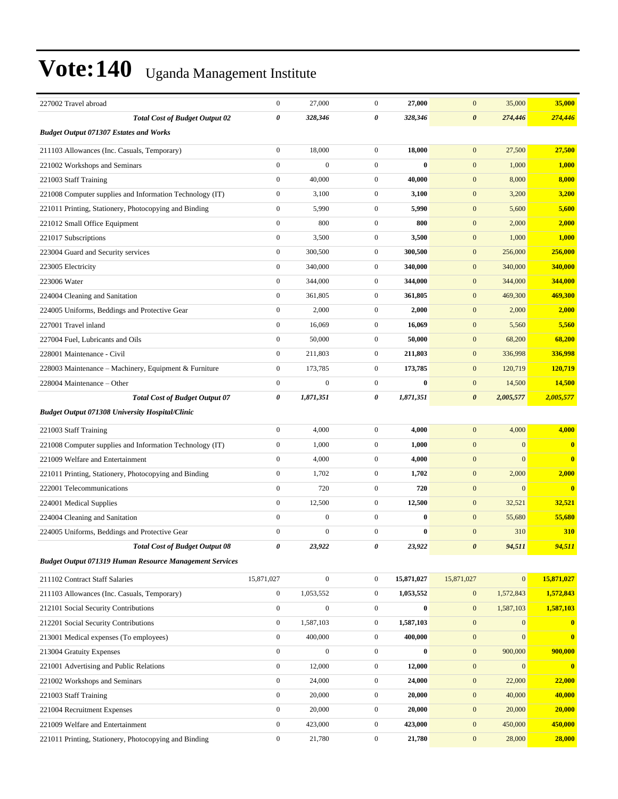| 227002 Travel abroad                                           | $\boldsymbol{0}$ | 27,000           | $\mathbf{0}$     | 27,000       | $\mathbf{0}$          | 35,000       | 35,000                  |
|----------------------------------------------------------------|------------------|------------------|------------------|--------------|-----------------------|--------------|-------------------------|
| <b>Total Cost of Budget Output 02</b>                          | $\pmb{\theta}$   | 328,346          | 0                | 328,346      | $\boldsymbol{\theta}$ | 274,446      | 274,446                 |
| <b>Budget Output 071307 Estates and Works</b>                  |                  |                  |                  |              |                       |              |                         |
| 211103 Allowances (Inc. Casuals, Temporary)                    | $\boldsymbol{0}$ | 18,000           | $\mathbf{0}$     | 18.000       | $\mathbf{0}$          | 27,500       | 27,500                  |
| 221002 Workshops and Seminars                                  | $\boldsymbol{0}$ | $\overline{0}$   | $\mathbf{0}$     | $\mathbf{0}$ | $\mathbf{0}$          | 1,000        | 1,000                   |
| 221003 Staff Training                                          | $\boldsymbol{0}$ | 40,000           | $\mathbf{0}$     | 40,000       | $\mathbf{0}$          | 8,000        | 8,000                   |
| 221008 Computer supplies and Information Technology (IT)       | $\boldsymbol{0}$ | 3,100            | $\mathbf{0}$     | 3,100        | $\mathbf{0}$          | 3,200        | 3,200                   |
| 221011 Printing, Stationery, Photocopying and Binding          | $\boldsymbol{0}$ | 5,990            | $\mathbf{0}$     | 5,990        | $\mathbf{0}$          | 5,600        | 5,600                   |
| 221012 Small Office Equipment                                  | $\mathbf{0}$     | 800              | $\mathbf{0}$     | 800          | $\mathbf{0}$          | 2,000        | 2,000                   |
| 221017 Subscriptions                                           | $\boldsymbol{0}$ | 3,500            | $\mathbf{0}$     | 3,500        | $\mathbf{0}$          | 1,000        | 1,000                   |
| 223004 Guard and Security services                             | $\boldsymbol{0}$ | 300,500          | $\mathbf{0}$     | 300,500      | $\boldsymbol{0}$      | 256,000      | 256,000                 |
| 223005 Electricity                                             | $\boldsymbol{0}$ | 340,000          | $\mathbf{0}$     | 340,000      | $\mathbf{0}$          | 340,000      | 340,000                 |
| 223006 Water                                                   | $\boldsymbol{0}$ | 344,000          | $\mathbf{0}$     | 344,000      | $\boldsymbol{0}$      | 344,000      | 344,000                 |
| 224004 Cleaning and Sanitation                                 | $\overline{0}$   | 361,805          | $\mathbf{0}$     | 361,805      | $\mathbf{0}$          | 469,300      | 469,300                 |
| 224005 Uniforms, Beddings and Protective Gear                  | $\boldsymbol{0}$ | 2,000            | $\mathbf{0}$     | 2,000        | $\mathbf{0}$          | 2,000        | 2,000                   |
| 227001 Travel inland                                           | $\boldsymbol{0}$ | 16,069           | $\mathbf{0}$     | 16,069       | $\boldsymbol{0}$      | 5,560        | 5,560                   |
| 227004 Fuel, Lubricants and Oils                               | $\boldsymbol{0}$ | 50,000           | $\mathbf{0}$     | 50,000       | $\mathbf{0}$          | 68,200       | 68,200                  |
| 228001 Maintenance - Civil                                     | $\boldsymbol{0}$ | 211,803          | $\mathbf{0}$     | 211,803      | $\boldsymbol{0}$      | 336,998      | 336,998                 |
| 228003 Maintenance – Machinery, Equipment & Furniture          | $\boldsymbol{0}$ | 173,785          | $\mathbf{0}$     | 173,785      | $\mathbf{0}$          | 120,719      | 120,719                 |
| 228004 Maintenance – Other                                     | $\boldsymbol{0}$ | $\overline{0}$   | $\mathbf{0}$     | $\bf{0}$     | $\mathbf{0}$          | 14,500       | 14,500                  |
| <b>Total Cost of Budget Output 07</b>                          | 0                | 1,871,351        | 0                | 1,871,351    | $\boldsymbol{\theta}$ | 2,005,577    | 2,005,577               |
| <b>Budget Output 071308 University Hospital/Clinic</b>         |                  |                  |                  |              |                       |              |                         |
| 221003 Staff Training                                          | $\boldsymbol{0}$ | 4,000            | $\mathbf{0}$     | 4,000        | $\mathbf{0}$          | 4,000        | 4,000                   |
| 221008 Computer supplies and Information Technology (IT)       | $\boldsymbol{0}$ | 1,000            | $\mathbf{0}$     | 1,000        | $\mathbf{0}$          | $\mathbf{0}$ | $\bf{0}$                |
| 221009 Welfare and Entertainment                               | $\mathbf{0}$     | 4,000            | $\mathbf{0}$     | 4,000        | $\boldsymbol{0}$      | $\mathbf{0}$ | $\bf{0}$                |
| 221011 Printing, Stationery, Photocopying and Binding          | $\boldsymbol{0}$ | 1,702            | $\mathbf{0}$     | 1,702        | $\boldsymbol{0}$      | 2,000        | 2,000                   |
| 222001 Telecommunications                                      | $\boldsymbol{0}$ | 720              | $\mathbf{0}$     | 720          | $\mathbf{0}$          | $\mathbf{0}$ | $\overline{\mathbf{0}}$ |
| 224001 Medical Supplies                                        | $\boldsymbol{0}$ | 12,500           | $\mathbf{0}$     | 12,500       | $\mathbf{0}$          | 32,521       | 32,521                  |
| 224004 Cleaning and Sanitation                                 | $\mathbf{0}$     | $\boldsymbol{0}$ | $\boldsymbol{0}$ | $\bf{0}$     | $\mathbf{0}$          | 55,680       | 55,680                  |
| 224005 Uniforms, Beddings and Protective Gear                  | $\mathbf{0}$     | $\boldsymbol{0}$ | $\mathbf{0}$     | $\bf{0}$     | $\mathbf{0}$          | 310          | 310                     |
| <b>Total Cost of Budget Output 08</b>                          | 0                | 23,922           | 0                | 23,922       | $\boldsymbol{\theta}$ | 94,511       | 94,511                  |
| <b>Budget Output 071319 Human Resource Management Services</b> |                  |                  |                  |              |                       |              |                         |
| 211102 Contract Staff Salaries                                 | 15,871,027       | $\overline{0}$   | $\boldsymbol{0}$ | 15,871,027   | 15,871,027            | $\mathbf{0}$ | 15,871,027              |
| 211103 Allowances (Inc. Casuals, Temporary)                    | $\boldsymbol{0}$ | 1,053,552        | $\boldsymbol{0}$ | 1,053,552    | $\mathbf{0}$          | 1,572,843    | 1,572,843               |
| 212101 Social Security Contributions                           | $\mathbf{0}$     | $\boldsymbol{0}$ | $\boldsymbol{0}$ | $\bf{0}$     | $\boldsymbol{0}$      | 1,587,103    | 1,587,103               |
| 212201 Social Security Contributions                           | $\boldsymbol{0}$ | 1,587,103        | $\boldsymbol{0}$ | 1,587,103    | $\mathbf{0}$          | $\mathbf{0}$ | $\mathbf{0}$            |
| 213001 Medical expenses (To employees)                         | $\boldsymbol{0}$ | 400,000          | $\mathbf{0}$     | 400,000      | $\boldsymbol{0}$      | $\mathbf{0}$ | $\bf{0}$                |
| 213004 Gratuity Expenses                                       | $\boldsymbol{0}$ | $\boldsymbol{0}$ | $\boldsymbol{0}$ | $\bf{0}$     | $\boldsymbol{0}$      | 900,000      | 900,000                 |
| 221001 Advertising and Public Relations                        | $\boldsymbol{0}$ | 12,000           | $\boldsymbol{0}$ | 12,000       | $\boldsymbol{0}$      | $\mathbf{0}$ | $\mathbf{0}$            |
| 221002 Workshops and Seminars                                  | $\boldsymbol{0}$ | 24,000           | $\boldsymbol{0}$ | 24,000       | $\boldsymbol{0}$      | 22,000       | 22,000                  |
| 221003 Staff Training                                          | $\mathbf{0}$     | 20,000           | $\boldsymbol{0}$ | 20,000       | $\boldsymbol{0}$      | 40,000       | 40,000                  |
| 221004 Recruitment Expenses                                    | $\boldsymbol{0}$ | 20,000           | $\boldsymbol{0}$ | 20,000       | $\boldsymbol{0}$      | 20,000       | 20,000                  |
| 221009 Welfare and Entertainment                               | $\boldsymbol{0}$ | 423,000          | $\boldsymbol{0}$ | 423,000      | $\boldsymbol{0}$      | 450,000      | 450,000                 |
| 221011 Printing, Stationery, Photocopying and Binding          | $\boldsymbol{0}$ | 21,780           | $\boldsymbol{0}$ | 21,780       | $\boldsymbol{0}$      | 28,000       | 28,000                  |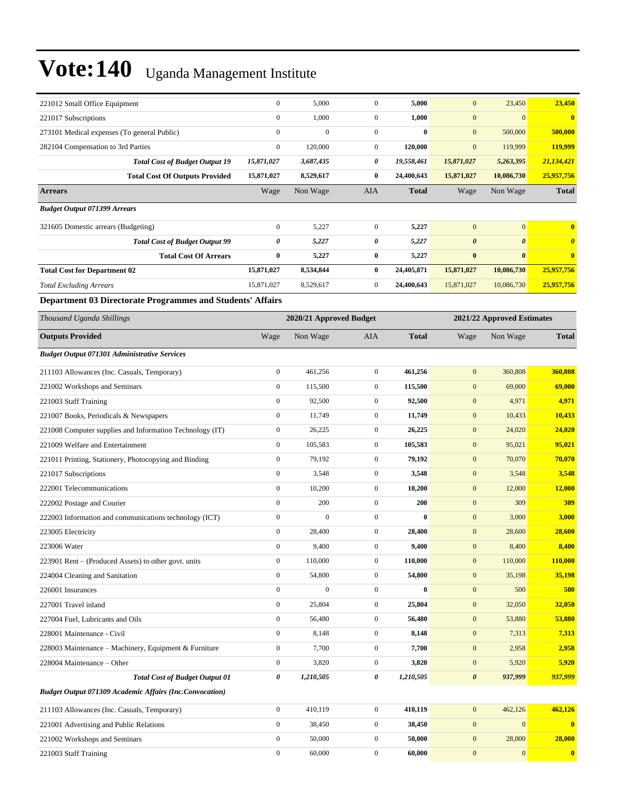| 221012 Small Office Equipment                                     | $\boldsymbol{0}$ | 5,000                   | $\boldsymbol{0}$ | 5,000        | $\mathbf{0}$          | 23,450                     | 23,450                |
|-------------------------------------------------------------------|------------------|-------------------------|------------------|--------------|-----------------------|----------------------------|-----------------------|
| 221017 Subscriptions                                              | $\boldsymbol{0}$ | 1,000                   | $\overline{0}$   | 1,000        | $\mathbf{0}$          | $\mathbf{0}$               | $\bf{0}$              |
| 273101 Medical expenses (To general Public)                       | $\boldsymbol{0}$ | $\mathbf{0}$            | $\mathbf{0}$     | $\bf{0}$     | $\mathbf{0}$          | 500,000                    | 500,000               |
| 282104 Compensation to 3rd Parties                                | $\boldsymbol{0}$ | 120,000                 | $\mathbf{0}$     | 120,000      | $\mathbf{0}$          | 119,999                    | 119,999               |
| <b>Total Cost of Budget Output 19</b>                             | 15,871,027       | 3,687,435               | 0                | 19,558,461   | 15,871,027            | 5,263,395                  | 21,134,421            |
| <b>Total Cost Of Outputs Provided</b>                             | 15,871,027       | 8,529,617               | $\bf{0}$         | 24,400,643   | 15,871,027            | 10,086,730                 | 25,957,756            |
| <b>Arrears</b>                                                    | Wage             | Non Wage                | AIA              | <b>Total</b> | Wage                  | Non Wage                   | <b>Total</b>          |
| <b>Budget Output 071399 Arrears</b>                               |                  |                         |                  |              |                       |                            |                       |
| 321605 Domestic arrears (Budgeting)                               | $\boldsymbol{0}$ | 5,227                   | $\boldsymbol{0}$ | 5,227        | $\mathbf{0}$          | $\mathbf{0}$               | $\bf{0}$              |
| <b>Total Cost of Budget Output 99</b>                             | 0                | 5,227                   | 0                | 5,227        | $\boldsymbol{\theta}$ | $\boldsymbol{\theta}$      | $\boldsymbol{\theta}$ |
| <b>Total Cost Of Arrears</b>                                      | $\bf{0}$         | 5,227                   | $\bf{0}$         | 5,227        | $\bf{0}$              | $\bf{0}$                   | $\bf{0}$              |
| <b>Total Cost for Department 02</b>                               | 15,871,027       | 8,534,844               | $\bf{0}$         | 24,405,871   | 15,871,027            | 10,086,730                 | 25,957,756            |
| <b>Total Excluding Arrears</b>                                    | 15,871,027       | 8,529,617               | $\boldsymbol{0}$ | 24,400,643   | 15,871,027            | 10,086,730                 | 25,957,756            |
| <b>Department 03 Directorate Programmes and Students' Affairs</b> |                  |                         |                  |              |                       |                            |                       |
| Thousand Uganda Shillings                                         |                  | 2020/21 Approved Budget |                  |              |                       | 2021/22 Approved Estimates |                       |
| <b>Outputs Provided</b>                                           | Wage             | Non Wage                | AIA              | <b>Total</b> | Wage                  | Non Wage                   | <b>Total</b>          |
| <b>Budget Output 071301 Administrative Services</b>               |                  |                         |                  |              |                       |                            |                       |
| 211103 Allowances (Inc. Casuals, Temporary)                       | $\boldsymbol{0}$ | 461,256                 | $\boldsymbol{0}$ | 461,256      | $\mathbf{0}$          | 360,808                    | 360,808               |
| 221002 Workshops and Seminars                                     | $\boldsymbol{0}$ | 115,500                 | $\mathbf{0}$     | 115,500      | $\mathbf{0}$          | 69,000                     | 69,000                |
| 221003 Staff Training                                             | $\boldsymbol{0}$ | 92,500                  | $\mathbf{0}$     | 92,500       | $\mathbf{0}$          | 4,971                      | 4,971                 |
| 221007 Books, Periodicals & Newspapers                            | $\boldsymbol{0}$ | 11,749                  | $\mathbf{0}$     | 11,749       | $\mathbf{0}$          | 10,433                     | 10,433                |
| 221008 Computer supplies and Information Technology (IT)          | $\boldsymbol{0}$ | 26,225                  | $\boldsymbol{0}$ | 26,225       | $\mathbf{0}$          | 24,020                     | 24,020                |
| 221009 Welfare and Entertainment                                  | $\boldsymbol{0}$ | 105,583                 | $\boldsymbol{0}$ | 105,583      | $\mathbf{0}$          | 95,021                     | 95,021                |
| 221011 Printing, Stationery, Photocopying and Binding             | $\boldsymbol{0}$ | 79,192                  | $\mathbf{0}$     | 79,192       | $\mathbf{0}$          | 70,070                     | 70,070                |
| 221017 Subscriptions                                              | $\boldsymbol{0}$ | 3,548                   | $\mathbf{0}$     | 3,548        | $\mathbf{0}$          | 3,548                      | 3,548                 |
| 222001 Telecommunications                                         | $\boldsymbol{0}$ | 10,200                  | $\mathbf{0}$     | 10,200       | $\mathbf{0}$          | 12,000                     | 12,000                |
| 222002 Postage and Courier                                        | $\boldsymbol{0}$ | 200                     | $\boldsymbol{0}$ | 200          | $\mathbf{0}$          | 309                        | <b>309</b>            |
| 222003 Information and communications technology (ICT)            | $\boldsymbol{0}$ | $\boldsymbol{0}$        | $\mathbf{0}$     | $\bf{0}$     | $\mathbf{0}$          | 3,000                      | 3,000                 |
| 223005 Electricity                                                | $\boldsymbol{0}$ | 28,400                  | $\mathbf{0}$     | 28,400       | $\mathbf{0}$          | 28,600                     | 28,600                |
| 223006 Water                                                      | $\boldsymbol{0}$ | 9,400                   | $\overline{0}$   | 9,400        | $\mathbf{0}$          | 8,400                      | 8,400                 |
| 223901 Rent - (Produced Assets) to other govt. units              | $\boldsymbol{0}$ | 110,000                 | $\mathbf{0}$     | 110,000      | $\boldsymbol{0}$      | 110,000                    | 110,000               |
| 224004 Cleaning and Sanitation                                    | $\boldsymbol{0}$ | 54,800                  | $\boldsymbol{0}$ | 54,800       | $\boldsymbol{0}$      | 35,198                     | 35,198                |
| 226001 Insurances                                                 | $\boldsymbol{0}$ | $\boldsymbol{0}$        | $\boldsymbol{0}$ | $\bf{0}$     | $\boldsymbol{0}$      | 500                        | 500                   |
| 227001 Travel inland                                              | $\boldsymbol{0}$ | 25,804                  | $\boldsymbol{0}$ | 25,804       | $\mathbf{0}$          | 32,050                     | 32,050                |
| 227004 Fuel, Lubricants and Oils                                  | $\boldsymbol{0}$ | 56,480                  | $\boldsymbol{0}$ | 56,480       | $\boldsymbol{0}$      | 53,880                     | 53,880                |
| 228001 Maintenance - Civil                                        | $\boldsymbol{0}$ | 8,148                   | $\boldsymbol{0}$ | 8,148        | $\boldsymbol{0}$      | 7,313                      | 7,313                 |
| 228003 Maintenance – Machinery, Equipment & Furniture             | $\boldsymbol{0}$ | 7,700                   | $\boldsymbol{0}$ | 7,700        | $\mathbf{0}$          | 2,958                      | 2,958                 |
| 228004 Maintenance – Other                                        | $\boldsymbol{0}$ | 3,820                   | $\boldsymbol{0}$ | 3,820        | $\boldsymbol{0}$      | 5,920                      | 5,920                 |
| <b>Total Cost of Budget Output 01</b>                             | 0                | 1,210,505               | 0                | 1,210,505    | $\boldsymbol{\theta}$ | 937,999                    | 937,999               |
| <b>Budget Output 071309 Academic Affairs (Inc.Convocation)</b>    |                  |                         |                  |              |                       |                            |                       |
| 211103 Allowances (Inc. Casuals, Temporary)                       | $\boldsymbol{0}$ | 410,119                 | $\boldsymbol{0}$ | 410,119      | $\boldsymbol{0}$      | 462,126                    | 462,126               |
| 221001 Advertising and Public Relations                           | $\boldsymbol{0}$ | 38,450                  | $\boldsymbol{0}$ | 38,450       | $\boldsymbol{0}$      | $\mathbf{0}$               | $\mathbf{0}$          |
| 221002 Workshops and Seminars                                     | $\boldsymbol{0}$ | 50,000                  | $\boldsymbol{0}$ | 50,000       | $\mathbf{0}$          | 28,000                     | 28,000                |
| 221003 Staff Training                                             | $\boldsymbol{0}$ | 60,000                  | $\boldsymbol{0}$ | 60,000       | $\boldsymbol{0}$      | $\bf{0}$                   | $\mathbf{0}$          |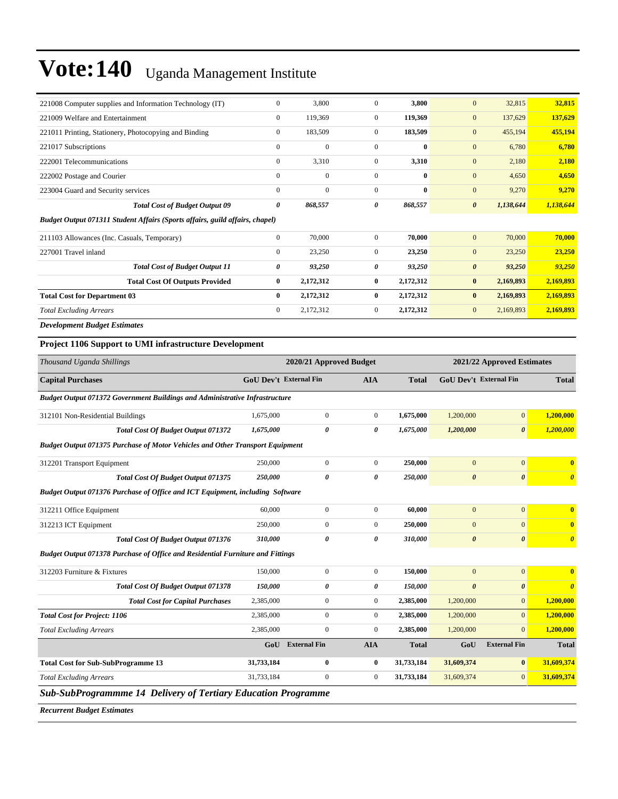| 221008 Computer supplies and Information Technology (IT)                     | $\mathbf{0}$ | 3,800        | $\Omega$       | 3,800        | $\mathbf{0}$<br>32,815             | 32,815    |
|------------------------------------------------------------------------------|--------------|--------------|----------------|--------------|------------------------------------|-----------|
| 221009 Welfare and Entertainment                                             | $\mathbf{0}$ | 119,369      | $\overline{0}$ | 119,369      | $\mathbf{0}$<br>137,629            | 137,629   |
| 221011 Printing, Stationery, Photocopying and Binding                        | $\mathbf{0}$ | 183,509      | $\overline{0}$ | 183,509      | $\mathbf{0}$<br>455,194            | 455,194   |
| 221017 Subscriptions                                                         | $\mathbf{0}$ | $\mathbf{0}$ | $\mathbf{0}$   | $\bf{0}$     | $\mathbf{0}$<br>6,780              | 6,780     |
| 222001 Telecommunications                                                    | $\mathbf{0}$ | 3,310        | $\mathbf{0}$   | 3,310        | $\mathbf{0}$<br>2,180              | 2,180     |
| 222002 Postage and Courier                                                   | $\mathbf{0}$ | $\mathbf{0}$ | $\mathbf{0}$   | $\bf{0}$     | $\mathbf{0}$<br>4,650              | 4,650     |
| 223004 Guard and Security services                                           | $\mathbf{0}$ | $\mathbf{0}$ | $\mathbf{0}$   | $\mathbf{0}$ | $\mathbf{0}$<br>9,270              | 9,270     |
| <b>Total Cost of Budget Output 09</b>                                        | 0            | 868,557      | 0              | 868,557      | $\boldsymbol{\theta}$<br>1,138,644 | 1,138,644 |
| Budget Output 071311 Student Affairs (Sports affairs, guild affairs, chapel) |              |              |                |              |                                    |           |
| 211103 Allowances (Inc. Casuals, Temporary)                                  | $\mathbf{0}$ | 70,000       | $\mathbf{0}$   | 70,000       | $\mathbf{0}$<br>70,000             | 70,000    |
| 227001 Travel inland                                                         | $\mathbf{0}$ | 23,250       | $\overline{0}$ | 23,250       | $\mathbf{0}$<br>23,250             | 23,250    |
| <b>Total Cost of Budget Output 11</b>                                        | 0            | 93,250       | 0              | 93,250       | $\boldsymbol{\theta}$<br>93,250    | 93,250    |
| <b>Total Cost Of Outputs Provided</b>                                        | $\bf{0}$     | 2,172,312    | $\bf{0}$       | 2,172,312    | $\bf{0}$<br>2,169,893              | 2,169,893 |
| <b>Total Cost for Department 03</b>                                          | $\bf{0}$     | 2,172,312    | $\bf{0}$       | 2,172,312    | 2,169,893<br>$\bf{0}$              | 2,169,893 |
| <b>Total Excluding Arrears</b>                                               | $\mathbf{0}$ | 2,172,312    | $\overline{0}$ | 2,172,312    | $\mathbf{0}$<br>2,169,893          | 2,169,893 |
| <b>Development Budget Estimates</b>                                          |              |              |                |              |                                    |           |

#### **Project 1106 Support to UMI infrastructure Development**

| Thousand Uganda Shillings                                                             |            | 2020/21 Approved Budget       |                |              | 2021/22 Approved Estimates    |                       |                                  |
|---------------------------------------------------------------------------------------|------------|-------------------------------|----------------|--------------|-------------------------------|-----------------------|----------------------------------|
| <b>Capital Purchases</b>                                                              |            | <b>GoU Dev't External Fin</b> | <b>AIA</b>     | <b>Total</b> | <b>GoU Dev't External Fin</b> |                       | <b>Total</b>                     |
| Budget Output 071372 Government Buildings and Administrative Infrastructure           |            |                               |                |              |                               |                       |                                  |
| 312101 Non-Residential Buildings                                                      | 1,675,000  | $\overline{0}$                | $\Omega$       | 1,675,000    | 1,200,000                     | $\mathbf{0}$          | 1,200,000                        |
| <b>Total Cost Of Budget Output 071372</b>                                             | 1,675,000  | 0                             | 0              | 1,675,000    | 1,200,000                     | $\boldsymbol{\theta}$ | 1,200,000                        |
| <b>Budget Output 071375 Purchase of Motor Vehicles and Other Transport Equipment</b>  |            |                               |                |              |                               |                       |                                  |
| 312201 Transport Equipment                                                            | 250,000    | $\overline{0}$                | $\Omega$       | 250,000      | $\Omega$                      | $\overline{0}$        | $\bf{0}$                         |
| Total Cost Of Budget Output 071375                                                    | 250,000    | 0                             | 0              | 250,000      | $\boldsymbol{\theta}$         | $\boldsymbol{\theta}$ | $\boldsymbol{\theta}$            |
| Budget Output 071376 Purchase of Office and ICT Equipment, including Software         |            |                               |                |              |                               |                       |                                  |
| 312211 Office Equipment                                                               | 60,000     | $\overline{0}$                | $\overline{0}$ | 60,000       | $\mathbf{0}$                  | $\mathbf{0}$          | $\bf{0}$                         |
| 312213 ICT Equipment                                                                  | 250,000    | $\overline{0}$                | $\Omega$       | 250,000      | $\mathbf{0}$                  | $\Omega$              | $\bf{0}$                         |
| Total Cost Of Budget Output 071376                                                    | 310,000    | $\theta$                      | 0              | 310,000      | $\boldsymbol{\theta}$         | $\boldsymbol{\theta}$ | $\boldsymbol{\theta}$            |
| <b>Budget Output 071378 Purchase of Office and Residential Furniture and Fittings</b> |            |                               |                |              |                               |                       |                                  |
| 312203 Furniture & Fixtures                                                           | 150,000    | $\overline{0}$                | $\mathbf{0}$   | 150,000      | $\mathbf{0}$                  | $\mathbf{0}$          | $\overline{0}$                   |
| Total Cost Of Budget Output 071378                                                    | 150,000    | 0                             | 0              | 150,000      | $\boldsymbol{\theta}$         | $\boldsymbol{\theta}$ | $\overline{\boldsymbol{\theta}}$ |
| <b>Total Cost for Capital Purchases</b>                                               | 2,385,000  | $\overline{0}$                | $\overline{0}$ | 2,385,000    | 1,200,000                     | $\overline{0}$        | 1,200,000                        |
| <b>Total Cost for Project: 1106</b>                                                   | 2,385,000  | $\overline{0}$                | $\overline{0}$ | 2,385,000    | 1,200,000                     | $\overline{0}$        | 1,200,000                        |
| <b>Total Excluding Arrears</b>                                                        | 2,385,000  | $\overline{0}$                | $\overline{0}$ | 2,385,000    | 1,200,000                     | $\Omega$              | 1,200,000                        |
|                                                                                       | GoU        | <b>External Fin</b>           | <b>AIA</b>     | <b>Total</b> | GoU                           | <b>External Fin</b>   | <b>Total</b>                     |
| <b>Total Cost for Sub-SubProgramme 13</b>                                             | 31,733,184 | $\bf{0}$                      | $\bf{0}$       | 31,733,184   | 31,609,374                    | $\bf{0}$              | 31,609,374                       |
| <b>Total Excluding Arrears</b>                                                        | 31,733,184 | $\mathbf{0}$                  | $\overline{0}$ | 31,733,184   | 31,609,374                    | $\overline{0}$        | 31,609,374                       |
| <b>Sub-SubProgrammme 14 Delivery of Tertiary Education Programme</b>                  |            |                               |                |              |                               |                       |                                  |

*Recurrent Budget Estimates*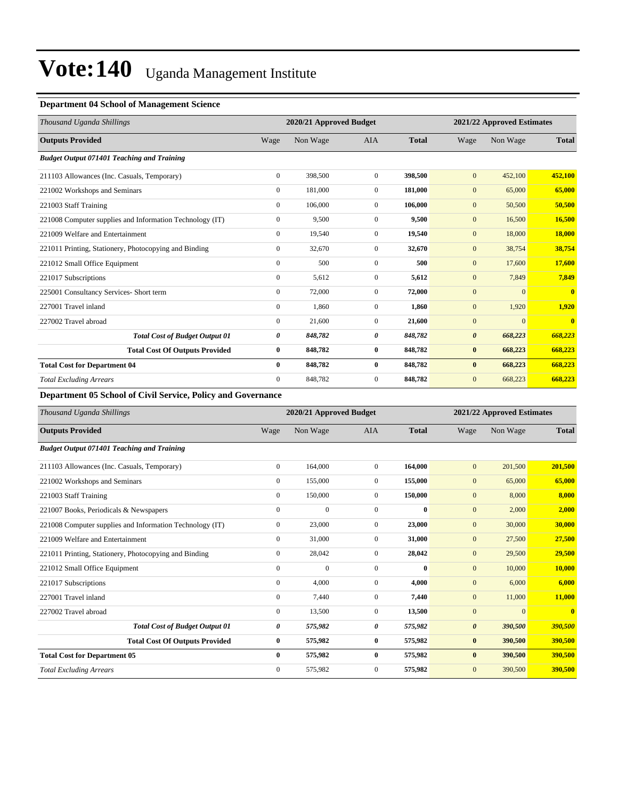#### **Department 04 School of Management Science**

| Thousand Uganda Shillings                                |                | 2020/21 Approved Budget |                |              | 2021/22 Approved Estimates |              |              |
|----------------------------------------------------------|----------------|-------------------------|----------------|--------------|----------------------------|--------------|--------------|
| <b>Outputs Provided</b>                                  | Wage           | Non Wage                | <b>AIA</b>     | <b>Total</b> | Wage                       | Non Wage     | <b>Total</b> |
| <b>Budget Output 071401 Teaching and Training</b>        |                |                         |                |              |                            |              |              |
| 211103 Allowances (Inc. Casuals, Temporary)              | $\overline{0}$ | 398,500                 | $\overline{0}$ | 398,500      | $\mathbf{0}$               | 452,100      | 452,100      |
| 221002 Workshops and Seminars                            | $\overline{0}$ | 181,000                 | $\overline{0}$ | 181,000      | $\mathbf{0}$               | 65,000       | 65,000       |
| 221003 Staff Training                                    | $\mathbf{0}$   | 106,000                 | $\overline{0}$ | 106,000      | $\mathbf{0}$               | 50,500       | 50,500       |
| 221008 Computer supplies and Information Technology (IT) | $\mathbf{0}$   | 9,500                   | $\mathbf{0}$   | 9,500        | $\mathbf{0}$               | 16,500       | 16,500       |
| 221009 Welfare and Entertainment                         | $\mathbf{0}$   | 19,540                  | $\mathbf{0}$   | 19,540       | $\mathbf{0}$               | 18,000       | 18,000       |
| 221011 Printing, Stationery, Photocopying and Binding    | $\mathbf{0}$   | 32,670                  | $\Omega$       | 32,670       | $\mathbf{0}$               | 38,754       | 38,754       |
| 221012 Small Office Equipment                            | $\mathbf{0}$   | 500                     | $\Omega$       | 500          | $\mathbf{0}$               | 17,600       | 17,600       |
| 221017 Subscriptions                                     | $\mathbf{0}$   | 5,612                   | $\mathbf{0}$   | 5,612        | $\mathbf{0}$               | 7,849        | 7,849        |
| 225001 Consultancy Services- Short term                  | $\mathbf{0}$   | 72,000                  | $\mathbf{0}$   | 72,000       | $\mathbf{0}$               | $\mathbf{0}$ | $\mathbf{0}$ |
| 227001 Travel inland                                     | $\mathbf{0}$   | 1,860                   | $\Omega$       | 1,860        | $\mathbf{0}$               | 1,920        | 1,920        |
| 227002 Travel abroad                                     | $\Omega$       | 21,600                  | $\Omega$       | 21,600       | $\mathbf{0}$               | $\mathbf{0}$ | $\mathbf{0}$ |
| <b>Total Cost of Budget Output 01</b>                    | 0              | 848,782                 | 0              | 848,782      | $\boldsymbol{\theta}$      | 668,223      | 668,223      |
| <b>Total Cost Of Outputs Provided</b>                    | $\bf{0}$       | 848,782                 | $\bf{0}$       | 848,782      | $\bf{0}$                   | 668,223      | 668,223      |
| <b>Total Cost for Department 04</b>                      | $\mathbf{0}$   | 848,782                 | $\bf{0}$       | 848,782      | $\bf{0}$                   | 668,223      | 668,223      |
| <b>Total Excluding Arrears</b>                           | $\overline{0}$ | 848,782                 | $\overline{0}$ | 848,782      | $\mathbf{0}$               | 668,223      | 668,223      |

**Department 05 School of Civil Service, Policy and Governance**

| Thousand Uganda Shillings                                | 2020/21 Approved Budget |              |                |              | 2021/22 Approved Estimates |                |              |
|----------------------------------------------------------|-------------------------|--------------|----------------|--------------|----------------------------|----------------|--------------|
| <b>Outputs Provided</b>                                  | Wage                    | Non Wage     | <b>AIA</b>     | <b>Total</b> | Wage                       | Non Wage       | <b>Total</b> |
| <b>Budget Output 071401 Teaching and Training</b>        |                         |              |                |              |                            |                |              |
| 211103 Allowances (Inc. Casuals, Temporary)              | $\overline{0}$          | 164,000      | $\overline{0}$ | 164,000      | $\mathbf{0}$               | 201,500        | 201,500      |
| 221002 Workshops and Seminars                            | $\mathbf{0}$            | 155,000      | $\mathbf{0}$   | 155,000      | $\mathbf{0}$               | 65,000         | 65,000       |
| 221003 Staff Training                                    | $\mathbf{0}$            | 150,000      | $\mathbf{0}$   | 150,000      | $\mathbf{0}$               | 8,000          | 8,000        |
| 221007 Books, Periodicals & Newspapers                   | $\mathbf{0}$            | $\mathbf{0}$ | $\Omega$       | $\bf{0}$     | $\mathbf{0}$               | 2,000          | 2,000        |
| 221008 Computer supplies and Information Technology (IT) | $\mathbf{0}$            | 23,000       | $\mathbf{0}$   | 23,000       | $\mathbf{0}$               | 30,000         | 30,000       |
| 221009 Welfare and Entertainment                         | $\mathbf{0}$            | 31,000       | $\Omega$       | 31,000       | $\mathbf{0}$               | 27,500         | 27,500       |
| 221011 Printing, Stationery, Photocopying and Binding    | $\mathbf{0}$            | 28,042       | $\mathbf{0}$   | 28,042       | $\mathbf{0}$               | 29,500         | 29,500       |
| 221012 Small Office Equipment                            | $\mathbf{0}$            | $\Omega$     | $\Omega$       | $\bf{0}$     | $\mathbf{0}$               | 10,000         | 10,000       |
| 221017 Subscriptions                                     | $\mathbf{0}$            | 4,000        | $\Omega$       | 4,000        | $\mathbf{0}$               | 6,000          | 6,000        |
| 227001 Travel inland                                     | $\mathbf{0}$            | 7,440        | $\Omega$       | 7,440        | $\mathbf{0}$               | 11,000         | 11,000       |
| 227002 Travel abroad                                     | $\mathbf{0}$            | 13,500       | $\mathbf{0}$   | 13,500       | $\mathbf{0}$               | $\overline{0}$ | $\bf{0}$     |
| <b>Total Cost of Budget Output 01</b>                    | 0                       | 575,982      | 0              | 575,982      | $\boldsymbol{\theta}$      | 390,500        | 390,500      |
| <b>Total Cost Of Outputs Provided</b>                    | $\bf{0}$                | 575,982      | $\bf{0}$       | 575,982      | $\bf{0}$                   | 390,500        | 390,500      |
| <b>Total Cost for Department 05</b>                      | $\bf{0}$                | 575,982      | $\bf{0}$       | 575,982      | $\bf{0}$                   | 390,500        | 390,500      |
| <b>Total Excluding Arrears</b>                           | $\mathbf{0}$            | 575,982      | $\Omega$       | 575,982      | $\mathbf{0}$               | 390,500        | 390,500      |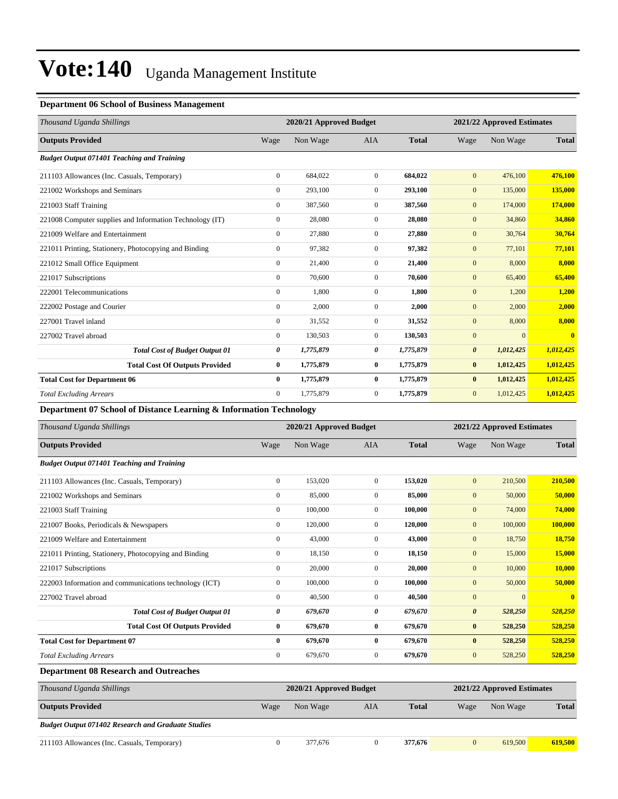#### **Department 06 School of Business Management**

| Thousand Uganda Shillings                                | 2020/21 Approved Budget |           |                |              | 2021/22 Approved Estimates |              |              |
|----------------------------------------------------------|-------------------------|-----------|----------------|--------------|----------------------------|--------------|--------------|
| <b>Outputs Provided</b>                                  | Wage                    | Non Wage  | <b>AIA</b>     | <b>Total</b> | Wage                       | Non Wage     | <b>Total</b> |
| <b>Budget Output 071401 Teaching and Training</b>        |                         |           |                |              |                            |              |              |
| 211103 Allowances (Inc. Casuals, Temporary)              | $\mathbf{0}$            | 684,022   | $\overline{0}$ | 684,022      | $\mathbf{0}$               | 476,100      | 476,100      |
| 221002 Workshops and Seminars                            | $\boldsymbol{0}$        | 293,100   | $\overline{0}$ | 293,100      | $\mathbf{0}$               | 135,000      | 135,000      |
| 221003 Staff Training                                    | $\mathbf{0}$            | 387,560   | $\overline{0}$ | 387,560      | $\mathbf{0}$               | 174,000      | 174,000      |
| 221008 Computer supplies and Information Technology (IT) | $\boldsymbol{0}$        | 28,080    | $\overline{0}$ | 28,080       | $\mathbf{0}$               | 34,860       | 34,860       |
| 221009 Welfare and Entertainment                         | $\mathbf{0}$            | 27,880    | $\overline{0}$ | 27,880       | $\mathbf{0}$               | 30,764       | 30,764       |
| 221011 Printing, Stationery, Photocopying and Binding    | $\mathbf{0}$            | 97,382    | $\Omega$       | 97,382       | $\mathbf{0}$               | 77,101       | 77,101       |
| 221012 Small Office Equipment                            | $\mathbf{0}$            | 21,400    | $\Omega$       | 21,400       | $\mathbf{0}$               | 8,000        | 8,000        |
| 221017 Subscriptions                                     | $\mathbf{0}$            | 70,600    | $\overline{0}$ | 70.600       | $\mathbf{0}$               | 65,400       | 65,400       |
| 222001 Telecommunications                                | $\mathbf{0}$            | 1,800     | $\overline{0}$ | 1,800        | $\mathbf{0}$               | 1,200        | 1,200        |
| 222002 Postage and Courier                               | $\mathbf{0}$            | 2,000     | $\overline{0}$ | 2,000        | $\mathbf{0}$               | 2,000        | 2,000        |
| 227001 Travel inland                                     | $\mathbf{0}$            | 31,552    | $\overline{0}$ | 31,552       | $\mathbf{0}$               | 8,000        | 8,000        |
| 227002 Travel abroad                                     | $\overline{0}$          | 130,503   | $\overline{0}$ | 130,503      | $\mathbf{0}$               | $\mathbf{0}$ | $\mathbf{0}$ |
| <b>Total Cost of Budget Output 01</b>                    | 0                       | 1,775,879 | 0              | 1,775,879    | $\boldsymbol{\theta}$      | 1,012,425    | 1,012,425    |
| <b>Total Cost Of Outputs Provided</b>                    | $\bf{0}$                | 1,775,879 | $\bf{0}$       | 1,775,879    | $\bf{0}$                   | 1,012,425    | 1,012,425    |
| <b>Total Cost for Department 06</b>                      | $\bf{0}$                | 1,775,879 | $\bf{0}$       | 1,775,879    | $\bf{0}$                   | 1,012,425    | 1,012,425    |
| <b>Total Excluding Arrears</b>                           | $\mathbf{0}$            | 1,775,879 | $\overline{0}$ | 1,775,879    | $\mathbf{0}$               | 1,012,425    | 1,012,425    |

**Department 07 School of Distance Learning & Information Technology**

| Thousand Uganda Shillings                                 | 2020/21 Approved Budget |          |                |              | 2021/22 Approved Estimates |              |              |
|-----------------------------------------------------------|-------------------------|----------|----------------|--------------|----------------------------|--------------|--------------|
| <b>Outputs Provided</b>                                   | Wage                    | Non Wage | <b>AIA</b>     | <b>Total</b> | Wage                       | Non Wage     | <b>Total</b> |
| <b>Budget Output 071401 Teaching and Training</b>         |                         |          |                |              |                            |              |              |
| 211103 Allowances (Inc. Casuals, Temporary)               | $\boldsymbol{0}$        | 153,020  | $\overline{0}$ | 153,020      | $\mathbf{0}$               | 210,500      | 210,500      |
| 221002 Workshops and Seminars                             | $\boldsymbol{0}$        | 85,000   | $\overline{0}$ | 85,000       | $\mathbf{0}$               | 50,000       | 50,000       |
| 221003 Staff Training                                     | $\boldsymbol{0}$        | 100,000  | $\overline{0}$ | 100,000      | $\mathbf{0}$               | 74,000       | 74,000       |
| 221007 Books, Periodicals & Newspapers                    | $\mathbf{0}$            | 120,000  | $\overline{0}$ | 120,000      | $\mathbf{0}$               | 100,000      | 100,000      |
| 221009 Welfare and Entertainment                          | $\mathbf{0}$            | 43,000   | $\overline{0}$ | 43,000       | $\mathbf{0}$               | 18,750       | 18,750       |
| 221011 Printing, Stationery, Photocopying and Binding     | $\boldsymbol{0}$        | 18,150   | $\overline{0}$ | 18,150       | $\mathbf{0}$               | 15,000       | 15,000       |
| 221017 Subscriptions                                      | $\mathbf{0}$            | 20,000   | $\overline{0}$ | 20,000       | $\mathbf{0}$               | 10,000       | 10,000       |
| 222003 Information and communications technology (ICT)    | $\mathbf{0}$            | 100,000  | $\overline{0}$ | 100,000      | $\mathbf{0}$               | 50,000       | 50,000       |
| 227002 Travel abroad                                      | $\mathbf{0}$            | 40,500   | $\overline{0}$ | 40,500       | $\mathbf{0}$               | $\mathbf{0}$ | $\mathbf{0}$ |
| <b>Total Cost of Budget Output 01</b>                     | 0                       | 679,670  | 0              | 679,670      | $\boldsymbol{\theta}$      | 528,250      | 528,250      |
| <b>Total Cost Of Outputs Provided</b>                     | $\bf{0}$                | 679,670  | $\bf{0}$       | 679,670      | $\bf{0}$                   | 528,250      | 528,250      |
| <b>Total Cost for Department 07</b>                       | $\mathbf{0}$            | 679,670  | $\bf{0}$       | 679,670      | $\bf{0}$                   | 528,250      | 528,250      |
| <b>Total Excluding Arrears</b>                            | $\mathbf{0}$            | 679,670  | $\overline{0}$ | 679,670      | $\mathbf{0}$               | 528,250      | 528,250      |
| <b>Department 08 Research and Outreaches</b>              |                         |          |                |              |                            |              |              |
| Thousand Uganda Shillings                                 | 2020/21 Approved Budget |          |                |              | 2021/22 Approved Estimates |              |              |
| <b>Outputs Provided</b>                                   | Wage                    | Non Wage | <b>AIA</b>     | <b>Total</b> | Wage                       | Non Wage     | <b>Total</b> |
| <b>Budget Output 071402 Research and Graduate Studies</b> |                         |          |                |              |                            |              |              |

211103 Allowances (Inc. Casuals, Temporary) 0 377,676 0 **377,676** 0 619,500 **619,500**